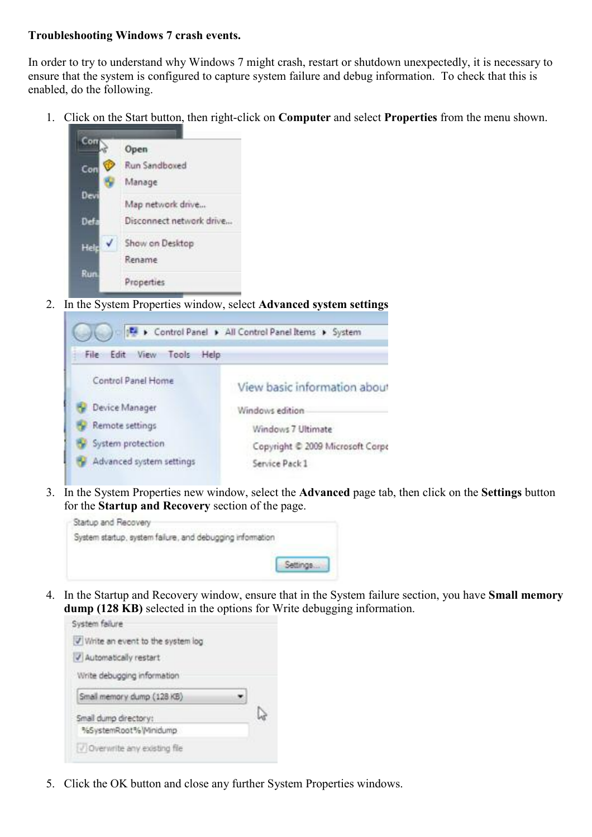## **Troubleshooting Windows 7 crash events.**

In order to try to understand why Windows 7 might crash, restart or shutdown unexpectedly, it is necessary to ensure that the system is configured to capture system failure and debug information. To check that this is enabled, do the following.

1. Click on the Start button, then right-click on **Computer** and select **Properties** from the menu shown.



2. In the System Properties window, select **Advanced system settings** 



3. In the System Properties new window, select the **Advanced** page tab, then click on the **Settings** button for the **Startup and Recovery** section of the page.



4. In the Startup and Recovery window, ensure that in the System failure section, you have **Small memory dump (128 KB)** selected in the options for Write debugging information.



5. Click the OK button and close any further System Properties windows.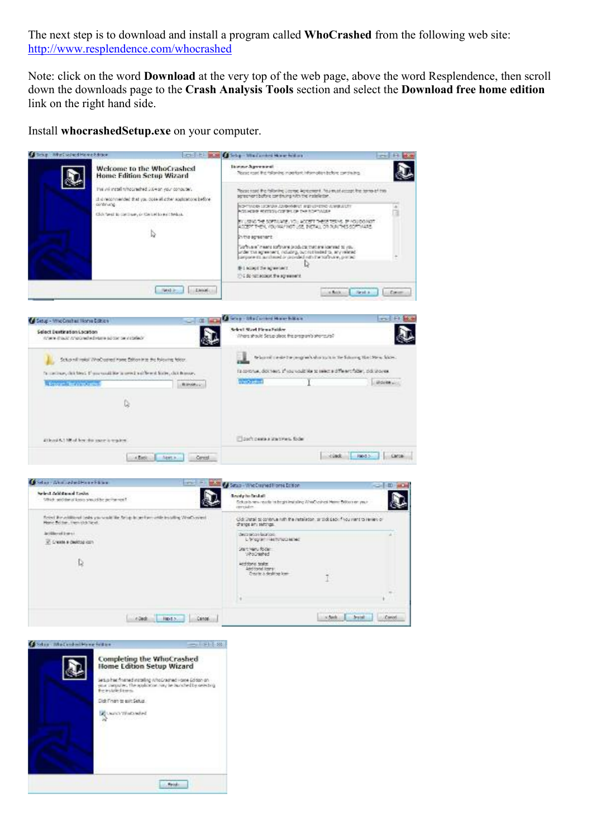The next step is to download and install a program called **WhoCrashed** from the following web site: <http://www.resplendence.com/whocrashed>

Note: click on the word **Download** at the very top of the web page, above the word Resplendence, then scroll down the downloads page to the **Crash Analysis Tools** section and select the **Download free home edition** link on the right hand side.

Install **whocrashedSetup.exe** on your computer.



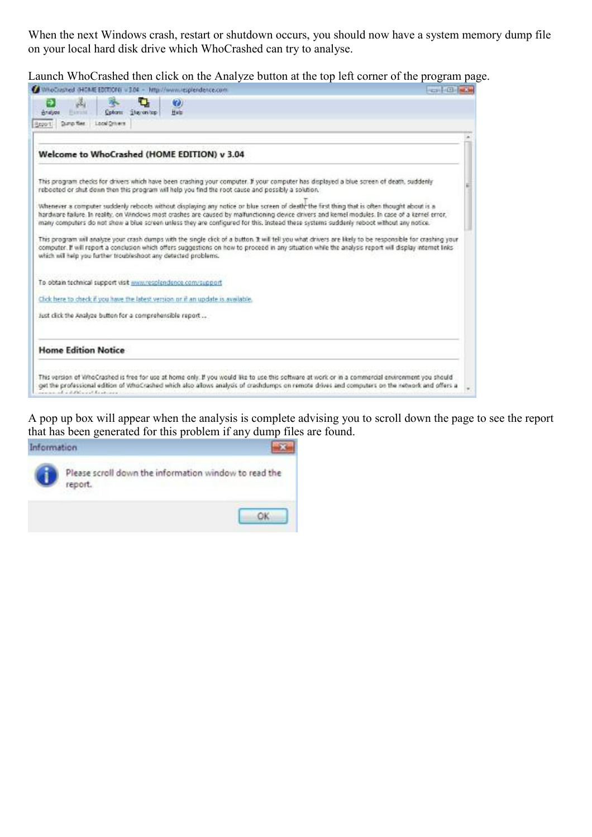When the next Windows crash, restart or shutdown occurs, you should now have a system memory dump file on your local hard disk drive which WhoCrashed can try to analyse.

Launch WhoCrashed then click on the Analyze button at the top left corner of the program page.

| us.<br>Analyze<br><b>Higgste</b>                          | Colon: Stavonico | O)<br><b>Help</b>                                                                                                                                                                                                                                                                                                                                                                                                                         |  |
|-----------------------------------------------------------|------------------|-------------------------------------------------------------------------------------------------------------------------------------------------------------------------------------------------------------------------------------------------------------------------------------------------------------------------------------------------------------------------------------------------------------------------------------------|--|
| Dunp flee<br>Report:                                      | Local Drivers    |                                                                                                                                                                                                                                                                                                                                                                                                                                           |  |
|                                                           |                  |                                                                                                                                                                                                                                                                                                                                                                                                                                           |  |
|                                                           |                  | Welcome to WhoCrashed (HOME EDITION) v 3.04                                                                                                                                                                                                                                                                                                                                                                                               |  |
|                                                           |                  | This program checks for drivers which have been crashing your computer. If your computer has displayed a blue screen of death, suddenly<br>rebooted or shut down then this program will help you find the root cause and possibly a solution.                                                                                                                                                                                             |  |
|                                                           |                  | Whenever a computer suddenly reboots without displaying any notice or blue screen of death the first thing that is often thought about is a<br>hardware failure. In reality, on Windows most crashes are caused by malfunctioning device drivers and kemel modules. In case of a kernel error,<br>many computers do not show a blue screen unless they are configured for this, instead these systems suddenly reboot without any notice. |  |
|                                                           |                  | This program will analyze your crash dumps with the single click of a button. It will tell you what drivers are likely to be responsible for crashing your<br>computer. If will report a conclusion which offers suggestions on how to proceed in any situation while the analysis report will display internet links<br>which will help you further troubleshoot any detected problems.                                                  |  |
|                                                           |                  | To obtain technical support visit www.resplendence.com/support                                                                                                                                                                                                                                                                                                                                                                            |  |
|                                                           |                  | Click here to check if you have the latest version or if an update is available.                                                                                                                                                                                                                                                                                                                                                          |  |
| Just click the Analyze button for a comprehensible report |                  |                                                                                                                                                                                                                                                                                                                                                                                                                                           |  |
| <b>Home Edition Notice</b>                                |                  |                                                                                                                                                                                                                                                                                                                                                                                                                                           |  |
|                                                           |                  | This version of WhoCrashed is free for use at home only. If you would like to use this software at work or in a commercial environment you should<br>get the professional edition of WhoCrashed which also allows analysis of crashdumps on remote drives and computers on the network and offers a                                                                                                                                       |  |

A pop up box will appear when the analysis is complete advising you to scroll down the page to see the report that has been generated for this problem if any dump files are found.

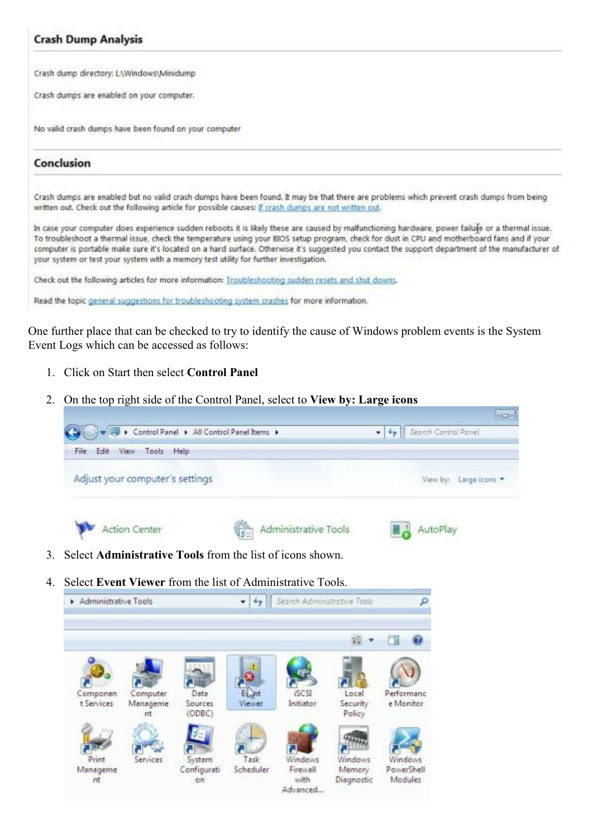## **Crash Dump Analysis**

Crash dump directory: LAWindows\Minidump

Crash dumos are enabled on your computer.

No valid crash dumps have been found on your computer

## Conclusion

Crash dumps are enabled but no valid crash dumps have been found. It may be that there are problems which prevent crash dumps from being written out. Check out the following article for possible causes: if crash dumps are not written out.

In case your computer does experience sudden reboots it is likely these are caused by malfunctioning hardware, power failule or a thermal issue. To troubleshoot a thermal issue, check the temperature using your BIOS setup program, check for dust in CPU and motherboard fans and if your computer is portable make sure it's located on a hard surface. Otherwise it's suggested you contact the support department of the manufacturer of your system or test your system with a memory test utility for further investigation.

Check out the following articles for more information: Traubleshooting sudden resets and shut downs.

Read the topic general suggestions for troubleshooting system crashes for more information.

One further place that can be checked to try to identify the cause of Windows problem events is the System Event Logs which can be accessed as follows:

- 1. Click on Start then select **Control Panel**
- 2. On the top right side of the Control Panel, select to **View by: Large icons**